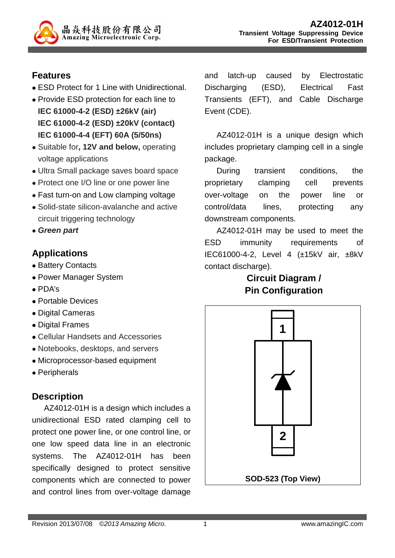

### **Features**

- ESD Protect for 1 Line with Unidirectional.
- Provide ESD protection for each line to **IEC 61000-4-2 (ESD) ±26kV (air) IEC 61000-4-2 (ESD) ±20kV (contact) IEC 61000-4-4 (EFT) 60A (5/50ns)**
- Suitable for**, 12V and below,** operating voltage applications
- Ultra Small package saves board space
- Protect one I/O line or one power line
- Fast turn-on and Low clamping voltage
- Solid-state silicon-avalanche and active circuit triggering technology
- **Green part**

### **Applications**

- Battery Contacts
- Power Manager System
- PDA's
- Portable Devices
- Digital Cameras
- Digital Frames
- Cellular Handsets and Accessories
- Notebooks, desktops, and servers
- Microprocessor-based equipment
- Peripherals

## **Description**

AZ4012-01H is a design which includes a unidirectional ESD rated clamping cell to protect one power line, or one control line, or one low speed data line in an electronic systems. The AZ4012-01H has been specifically designed to protect sensitive components which are connected to power and control lines from over-voltage damage and latch-up caused by Electrostatic Discharging (ESD), Electrical Fast Transients (EFT), and Cable Discharge Event (CDE).

AZ4012-01H is a unique design which includes proprietary clamping cell in a single package.

During transient conditions, the proprietary clamping cell prevents over-voltage on the power line or control/data lines, protecting any downstream components.

AZ4012-01H may be used to meet the ESD immunity requirements of IEC61000-4-2, Level 4 (±15kV air, ±8kV contact discharge).

## **Circuit Diagram / Pin Configuration**

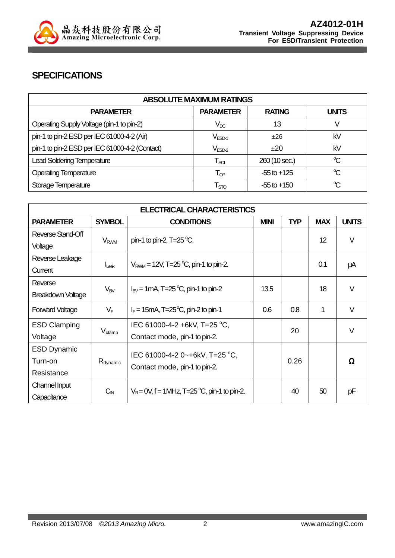

### **SPECIFICATIONS**

| <b>ABSOLUTE MAXIMUM RATINGS</b>                |                             |                 |                      |
|------------------------------------------------|-----------------------------|-----------------|----------------------|
| <b>PARAMETER</b>                               | <b>PARAMETER</b>            | <b>RATING</b>   | <b>UNITS</b>         |
| Operating Supply Voltage (pin-1 to pin-2)      | $\rm V_{DC}$                | 13              |                      |
| pin-1 to pin-2 ESD per IEC 61000-4-2 (Air)     | $V_{ESD-1}$                 | ±26             | kV                   |
| pin-1 to pin-2 ESD per IEC 61000-4-2 (Contact) | $\rm V_{ESD-2}$             | $+20$           | kV                   |
| <b>Lead Soldering Temperature</b>              | $\mathsf{T}_{\mathsf{SOL}}$ | 260 (10 sec.)   | $\mathrm{C}^{\circ}$ |
| <b>Operating Temperature</b>                   | $\mathsf{T}_{\mathsf{QP}}$  | $-55$ to $+125$ | $\mathrm{C}^{\circ}$ |
| Storage Temperature                            | $\mathsf{T}_{\text{STO}}$   | $-55$ to $+150$ | $\mathrm{C}^{\circ}$ |

| <b>ELECTRICAL CHARACTERISTICS</b> |                        |                                                            |             |            |                 |              |
|-----------------------------------|------------------------|------------------------------------------------------------|-------------|------------|-----------------|--------------|
| <b>PARAMETER</b>                  | <b>SYMBOL</b>          | <b>CONDITIONS</b>                                          | <b>MINI</b> | <b>TYP</b> | <b>MAX</b>      | <b>UNITS</b> |
| Reverse Stand-Off                 |                        |                                                            |             |            | 12 <sup>2</sup> | $\vee$       |
| Voltage                           | <b>V<sub>RWM</sub></b> | pin-1 to pin-2, $T=25^{\circ}C$ .                          |             |            |                 |              |
| Reverse Leakage                   |                        |                                                            |             |            |                 |              |
| Current                           | Leak                   | $V_{RWM}$ = 12V, T=25 °C, pin-1 to pin-2.                  |             |            | 0.1             | μA           |
| Reverse                           |                        |                                                            | 13.5        |            | 18              | V            |
| <b>Breakdown Voltage</b>          | $V_{BV}$               | $I_{\text{BV}}$ = 1 mA, T=25 °C, pin-1 to pin-2            |             |            |                 |              |
| <b>Forward Voltage</b>            | $V_F$                  | $I_F = 15 \text{mA}$ , T=25 <sup>o</sup> C, pin-2 to pin-1 | 0.6         | 0.8        | 1               | V            |
| <b>ESD Clamping</b>               |                        | IEC 61000-4-2 +6kV, T=25 °C,                               | 20          |            |                 | $\vee$       |
| Voltage                           | $V_{\text{clamp}}$     | Contact mode, pin-1 to pin-2.                              |             |            |                 |              |
| <b>ESD Dynamic</b>                |                        | IEC 61000-4-2 0~+6kV, T=25 °C,                             |             |            |                 |              |
| Turn-on                           | $R_{\text{dynamic}}$   |                                                            |             | 0.26       |                 | Ω            |
| Resistance                        |                        | Contact mode, pin-1 to pin-2.                              |             |            |                 |              |
| Channel Input                     |                        | $V_R = 0V$ , f = 1MHz, T=25 °C, pin-1 to pin-2.            |             | 40         | 50              | рF           |
| Capacitance                       | $C_{\mathsf{IN}}$      |                                                            |             |            |                 |              |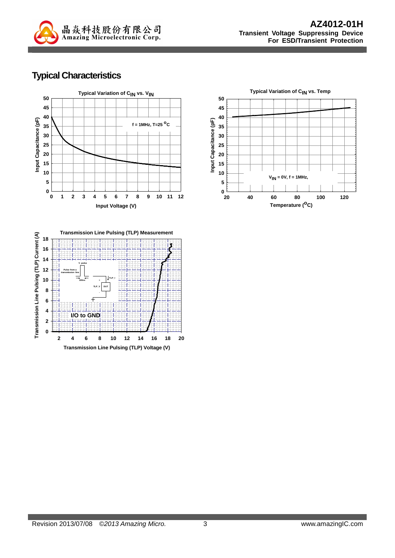

## **Typical Characteristics**





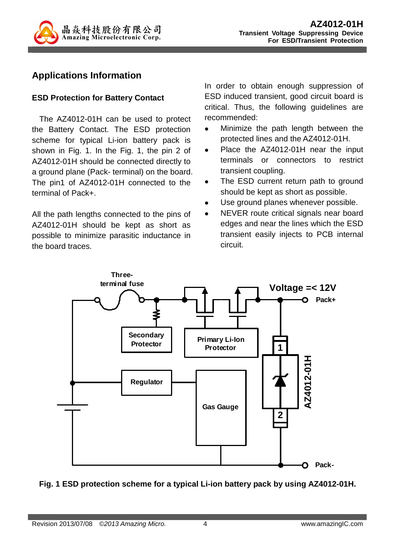

### **Applications Information**

#### **ESD Protection for Battery Contact**

 The AZ4012-01H can be used to protect the Battery Contact. The ESD protection scheme for typical Li-ion battery pack is shown in Fig. 1. In the Fig. 1, the pin 2 of AZ4012-01H should be connected directly to a ground plane (Pack- terminal) on the board. The pin1 of AZ4012-01H connected to the terminal of Pack+.

All the path lengths connected to the pins of AZ4012-01H should be kept as short as possible to minimize parasitic inductance in the board traces.

In order to obtain enough suppression of ESD induced transient, good circuit board is critical. Thus, the following guidelines are recommended:

- Minimize the path length between the protected lines and the AZ4012-01H.
- Place the AZ4012-01H near the input terminals or connectors to restrict transient coupling.
- The ESD current return path to ground should be kept as short as possible.
- Use ground planes whenever possible.
- NEVER route critical signals near board edges and near the lines which the ESD transient easily injects to PCB internal circuit.



#### **Fig. 1 ESD protection scheme for a typical Li-ion battery pack by using AZ4012-01H.**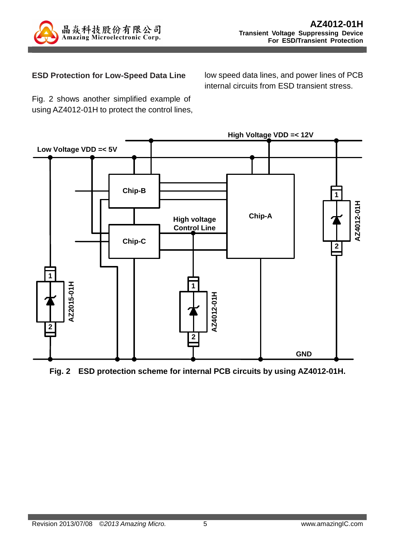

#### **ESD Protection for Low-Speed Data Line**

low speed data lines, and power lines of PCB internal circuits from ESD transient stress.

Fig. 2 shows another simplified example of using AZ4012-01H to protect the control lines,



**Fig. 2 ESD protection scheme for internal PCB circuits by using AZ4012-01H.**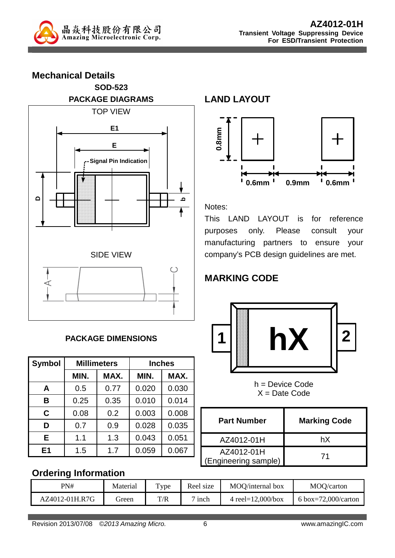

**Mechanical Details SOD-523 PACKAGE DIAGRAMS**  TOP VIEW **DbE E1 Signal Pin Indication** SIDE VIEW

### **PACKAGE DIMENSIONS**

| <b>Symbol</b> | <b>Millimeters</b> |      | <b>Inches</b> |       |  |
|---------------|--------------------|------|---------------|-------|--|
|               | MIN.               | MAX. | MIN.          | MAX.  |  |
| A             | 0.5                | 0.77 | 0.020         | 0.030 |  |
| B             | 0.25               | 0.35 | 0.010         | 0.014 |  |
| C             | 0.08               | 0.2  | 0.003         | 0.008 |  |
| D             | 0.7                | 0.9  | 0.028         | 0.035 |  |
| Е             | 1.1                | 1.3  | 0.043         | 0.051 |  |
| E1            | 1.5                | 1.7  | 0.059         | 0.067 |  |

### **LAND LAYOUT**



Notes:

This LAND LAYOUT is for reference purposes only. Please consult your manufacturing partners to ensure your company's PCB design guidelines are met.

# **MARKING CODE**



h = Device Code  $X =$  Date Code

| <b>Part Number</b>                 | <b>Marking Code</b> |
|------------------------------------|---------------------|
| AZ4012-01H                         | hX                  |
| AZ4012-01H<br>(Engineering sample) | 71                  |

### **Ordering Information**

| PN#            | Material | T <sub>Y</sub> pe | Reel size        | MOO/internal box      | MOQ/carton          |
|----------------|----------|-------------------|------------------|-----------------------|---------------------|
| AZ4012-01H.R7G | freen    | T/R               | <sub>1</sub> nch | 4 reel= $12,000/b$ ox | 6 box=72,000/carton |